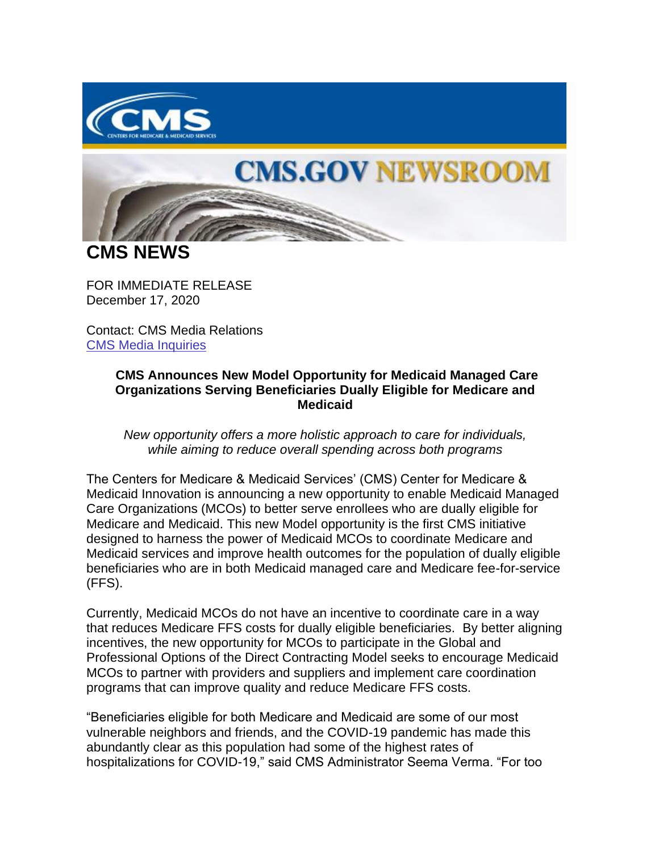



**CMS NEWS**

FOR IMMEDIATE RELEASE December 17, 2020

Contact: CMS Media Relations [CMS Media Inquiries](https://lnks.gd/l/eyJhbGciOiJIUzI1NiJ9.eyJidWxsZXRpbl9saW5rX2lkIjoxMDAsInVyaSI6ImJwMjpjbGljayIsImJ1bGxldGluX2lkIjoiMjAyMDEyMTcuMzIxOTgyOTEiLCJ1cmwiOiJodHRwczovL3d3dy5jbXMuZ292L25ld3Nyb29tL21lZGlhLWlucXVpcmllcyJ9.Q0D90RLhFeykajLnX46GCf-UFGSO_8xv5bQ2CCEcjAg/s/1086872215/br/92062652890-l)

## **CMS Announces New Model Opportunity for Medicaid Managed Care Organizations Serving Beneficiaries Dually Eligible for Medicare and Medicaid**

*New opportunity offers a more holistic approach to care for individuals, while aiming to reduce overall spending across both programs*

The Centers for Medicare & Medicaid Services' (CMS) Center for Medicare & Medicaid Innovation is announcing a new opportunity to enable Medicaid Managed Care Organizations (MCOs) to better serve enrollees who are dually eligible for Medicare and Medicaid. This new Model opportunity is the first CMS initiative designed to harness the power of Medicaid MCOs to coordinate Medicare and Medicaid services and improve health outcomes for the population of dually eligible beneficiaries who are in both Medicaid managed care and Medicare fee-for-service (FFS).

Currently, Medicaid MCOs do not have an incentive to coordinate care in a way that reduces Medicare FFS costs for dually eligible beneficiaries. By better aligning incentives, the new opportunity for MCOs to participate in the Global and Professional Options of the Direct Contracting Model seeks to encourage Medicaid MCOs to partner with providers and suppliers and implement care coordination programs that can improve quality and reduce Medicare FFS costs.

"Beneficiaries eligible for both Medicare and Medicaid are some of our most vulnerable neighbors and friends, and the COVID-19 pandemic has made this abundantly clear as this population had some of the highest rates of hospitalizations for COVID-19," said CMS Administrator Seema Verma. "For too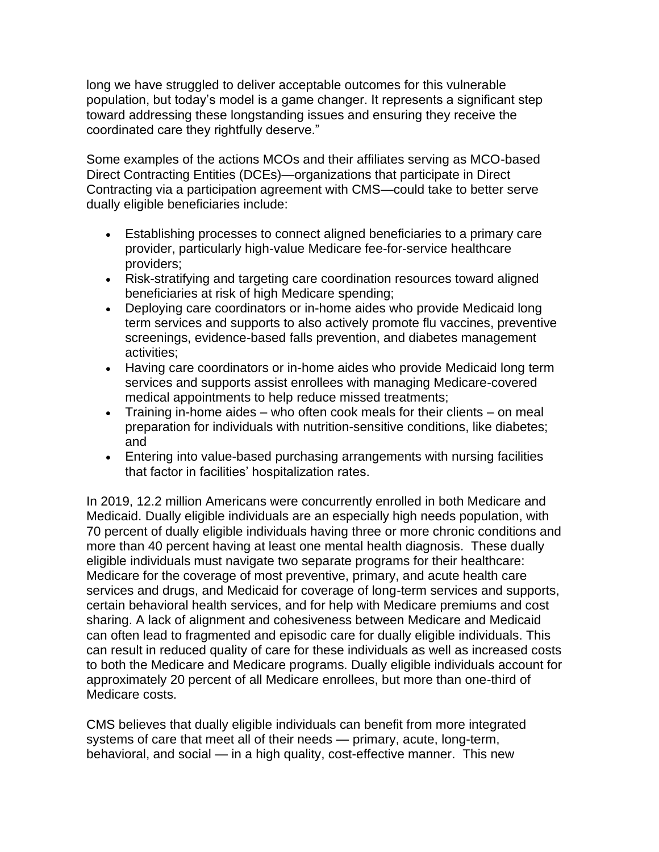long we have struggled to deliver acceptable outcomes for this vulnerable population, but today's model is a game changer. It represents a significant step toward addressing these longstanding issues and ensuring they receive the coordinated care they rightfully deserve."

Some examples of the actions MCOs and their affiliates serving as MCO-based Direct Contracting Entities (DCEs)—organizations that participate in Direct Contracting via a participation agreement with CMS—could take to better serve dually eligible beneficiaries include:

- Establishing processes to connect aligned beneficiaries to a primary care provider, particularly high-value Medicare fee-for-service healthcare providers;
- Risk-stratifying and targeting care coordination resources toward aligned beneficiaries at risk of high Medicare spending;
- Deploying care coordinators or in-home aides who provide Medicaid long term services and supports to also actively promote flu vaccines, preventive screenings, evidence-based falls prevention, and diabetes management activities;
- Having care coordinators or in-home aides who provide Medicaid long term services and supports assist enrollees with managing Medicare-covered medical appointments to help reduce missed treatments;
- Training in-home aides who often cook meals for their clients on meal preparation for individuals with nutrition-sensitive conditions, like diabetes; and
- Entering into value-based purchasing arrangements with nursing facilities that factor in facilities' hospitalization rates.

In 2019, 12.2 million Americans were concurrently enrolled in both Medicare and Medicaid. Dually eligible individuals are an especially high needs population, with 70 percent of dually eligible individuals having three or more chronic conditions and more than 40 percent having at least one mental health diagnosis. These dually eligible individuals must navigate two separate programs for their healthcare: Medicare for the coverage of most preventive, primary, and acute health care services and drugs, and Medicaid for coverage of long-term services and supports, certain behavioral health services, and for help with Medicare premiums and cost sharing. A lack of alignment and cohesiveness between Medicare and Medicaid can often lead to fragmented and episodic care for dually eligible individuals. This can result in reduced quality of care for these individuals as well as increased costs to both the Medicare and Medicare programs. Dually eligible individuals account for approximately 20 percent of all Medicare enrollees, but more than one-third of Medicare costs.

CMS believes that dually eligible individuals can benefit from more integrated systems of care that meet all of their needs — primary, acute, long-term, behavioral, and social — in a high quality, cost-effective manner. This new